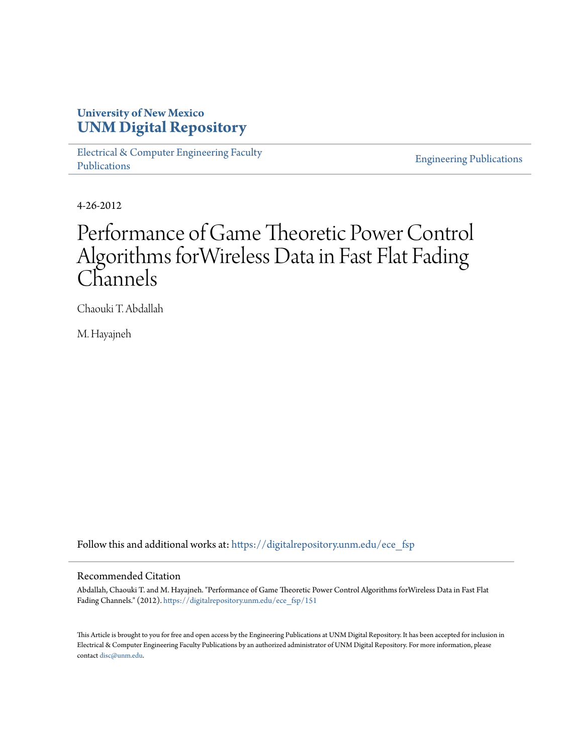# **University of New Mexico [UNM Digital Repository](https://digitalrepository.unm.edu?utm_source=digitalrepository.unm.edu%2Fece_fsp%2F151&utm_medium=PDF&utm_campaign=PDFCoverPages)**

[Electrical & Computer Engineering Faculty](https://digitalrepository.unm.edu/ece_fsp?utm_source=digitalrepository.unm.edu%2Fece_fsp%2F151&utm_medium=PDF&utm_campaign=PDFCoverPages) [Publications](https://digitalrepository.unm.edu/ece_fsp?utm_source=digitalrepository.unm.edu%2Fece_fsp%2F151&utm_medium=PDF&utm_campaign=PDFCoverPages)

[Engineering Publications](https://digitalrepository.unm.edu/eng_fsp?utm_source=digitalrepository.unm.edu%2Fece_fsp%2F151&utm_medium=PDF&utm_campaign=PDFCoverPages)

4-26-2012

# Performance of Game Theoretic Power Control Algorithms forWireless Data in Fast Flat Fading Channels

Chaouki T. Abdallah

M. Hayajneh

Follow this and additional works at: [https://digitalrepository.unm.edu/ece\\_fsp](https://digitalrepository.unm.edu/ece_fsp?utm_source=digitalrepository.unm.edu%2Fece_fsp%2F151&utm_medium=PDF&utm_campaign=PDFCoverPages)

### Recommended Citation

Abdallah, Chaouki T. and M. Hayajneh. "Performance of Game Theoretic Power Control Algorithms forWireless Data in Fast Flat Fading Channels." (2012). [https://digitalrepository.unm.edu/ece\\_fsp/151](https://digitalrepository.unm.edu/ece_fsp/151?utm_source=digitalrepository.unm.edu%2Fece_fsp%2F151&utm_medium=PDF&utm_campaign=PDFCoverPages)

This Article is brought to you for free and open access by the Engineering Publications at UNM Digital Repository. It has been accepted for inclusion in Electrical & Computer Engineering Faculty Publications by an authorized administrator of UNM Digital Repository. For more information, please contact [disc@unm.edu.](mailto:disc@unm.edu)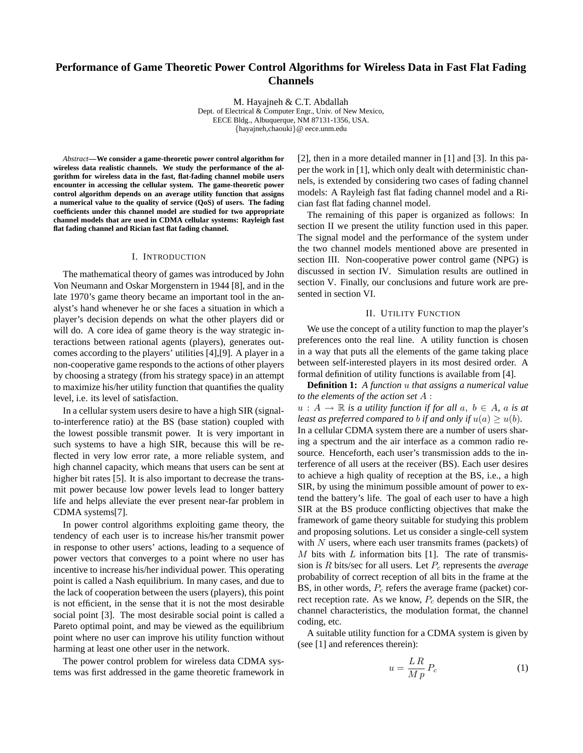## **Performance of Game Theoretic Power Control Algorithms for Wireless Data in Fast Flat Fading Channels**

M. Hayajneh & C.T. Abdallah

Dept. of Electrical & Computer Engr., Univ. of New Mexico, EECE Bldg., Albuquerque, NM 87131-1356, USA. {hayajneh,chaouki}@ eece.unm.edu

*Abstract***—We consider a game-theoretic power control algorithm for wireless data realistic channels. We study the performance of the algorithm for wireless data in the fast, flat-fading channel mobile users encounter in accessing the cellular system. The game-theoretic power control algorithm depends on an average utility function that assigns a numerical value to the quality of service (QoS) of users. The fading coefficients under this channel model are studied for two appropriate channel models that are used in CDMA cellular systems: Rayleigh fast flat fading channel and Rician fast flat fading channel.**

#### I. INTRODUCTION

The mathematical theory of games was introduced by John Von Neumann and Oskar Morgenstern in 1944 [8], and in the late 1970's game theory became an important tool in the analyst's hand whenever he or she faces a situation in which a player's decision depends on what the other players did or will do. A core idea of game theory is the way strategic interactions between rational agents (players), generates outcomes according to the players' utilities [4],[9]. A player in a non-cooperative game responds to the actions of other players by choosing a strategy (from his strategy space) in an attempt to maximize his/her utility function that quantifies the quality level, i.e. its level of satisfaction.

In a cellular system users desire to have a high SIR (signalto-interference ratio) at the BS (base station) coupled with the lowest possible transmit power. It is very important in such systems to have a high SIR, because this will be reflected in very low error rate, a more reliable system, and high channel capacity, which means that users can be sent at higher bit rates [5]. It is also important to decrease the transmit power because low power levels lead to longer battery life and helps alleviate the ever present near-far problem in CDMA systems[7].

In power control algorithms exploiting game theory, the tendency of each user is to increase his/her transmit power in response to other users' actions, leading to a sequence of power vectors that converges to a point where no user has incentive to increase his/her individual power. This operating point is called a Nash equilibrium. In many cases, and due to the lack of cooperation between the users (players), this point is not efficient, in the sense that it is not the most desirable social point [3]. The most desirable social point is called a Pareto optimal point, and may be viewed as the equilibrium point where no user can improve his utility function without harming at least one other user in the network.

The power control problem for wireless data CDMA systems was first addressed in the game theoretic framework in [2], then in a more detailed manner in [1] and [3]. In this paper the work in [1], which only dealt with deterministic channels, is extended by considering two cases of fading channel models: A Rayleigh fast flat fading channel model and a Rician fast flat fading channel model.

The remaining of this paper is organized as follows: In section II we present the utility function used in this paper. The signal model and the performance of the system under the two channel models mentioned above are presented in section III. Non-cooperative power control game (NPG) is discussed in section IV. Simulation results are outlined in section V. Finally, our conclusions and future work are presented in section VI.

#### II. UTILITY FUNCTION

We use the concept of a utility function to map the player's preferences onto the real line. A utility function is chosen in a way that puts all the elements of the game taking place between self-interested players in its most desired order. A formal definition of utility functions is available from [4].

**Definition 1:** *A function* u *that assigns a numerical value to the elements of the action set* A :

 $u : A \to \mathbb{R}$  *is a utility function if for all a, b*  $\in$  *A, a is at least as preferred compared to b if and only if*  $u(a) > u(b)$ *.* In a cellular CDMA system there are a number of users sharing a spectrum and the air interface as a common radio resource. Henceforth, each user's transmission adds to the interference of all users at the receiver (BS). Each user desires to achieve a high quality of reception at the BS, i.e., a high SIR, by using the minimum possible amount of power to extend the battery's life. The goal of each user to have a high SIR at the BS produce conflicting objectives that make the framework of game theory suitable for studying this problem and proposing solutions. Let us consider a single-cell system with  $N$  users, where each user transmits frames (packets) of  $M$  bits with  $L$  information bits [1]. The rate of transmission is  $R$  bits/sec for all users. Let  $P_c$  represents the *average* probability of correct reception of all bits in the frame at the BS, in other words,  $P_c$  refers the average frame (packet) correct reception rate. As we know,  $P_c$  depends on the SIR, the channel characteristics, the modulation format, the channel coding, etc.

A suitable utility function for a CDMA system is given by (see [1] and references therein):

$$
u = \frac{LR}{Mp} P_c \tag{1}
$$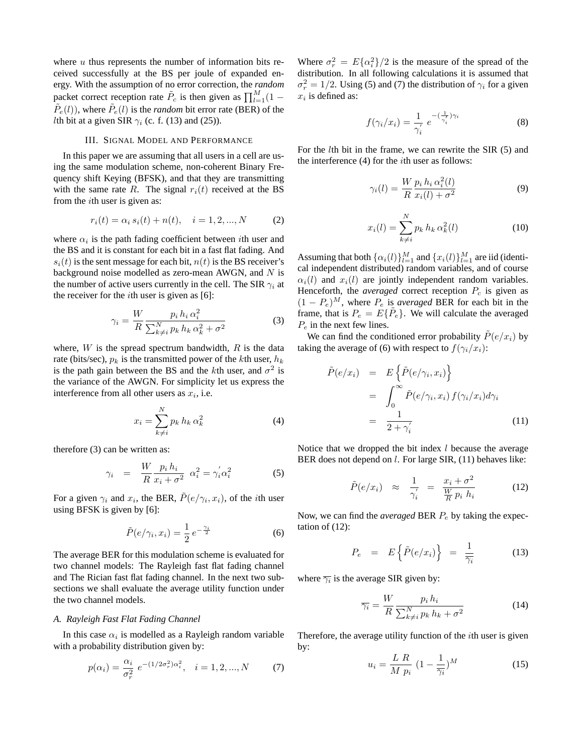where  $u$  thus represents the number of information bits received successfully at the BS per joule of expanded energy. With the assumption of no error correction, the *random* packet correct reception rate  $\tilde{P}_c$  is then given as  $\prod_{i=1}^{M} (1 \tilde{P}_e(l)$ , where  $\tilde{P}_e(l)$  is the *random* bit error rate (BER) of the *l*th bit at a given SIR  $\gamma_i$  (c. f. (13) and (25)).

#### III. SIGNAL MODEL AND PERFORMANCE

In this paper we are assuming that all users in a cell are using the same modulation scheme, non-coherent Binary Frequency shift Keying (BFSK), and that they are transmitting with the same rate R. The signal  $r_i(t)$  received at the BS from the ith user is given as:

$$
r_i(t) = \alpha_i s_i(t) + n(t), \quad i = 1, 2, ..., N
$$
 (2)

where  $\alpha_i$  is the path fading coefficient between *i*th user and the BS and it is constant for each bit in a fast flat fading. And  $s_i(t)$  is the sent message for each bit,  $n(t)$  is the BS receiver's background noise modelled as zero-mean AWGN, and  $N$  is the number of active users currently in the cell. The SIR  $\gamma_i$  at the receiver for the *i*th user is given as  $[6]$ :

$$
\gamma_i = \frac{W}{R} \frac{p_i h_i \alpha_i^2}{\sum_{k \neq i}^N p_k h_k \alpha_k^2 + \sigma^2}
$$
(3)

where,  $W$  is the spread spectrum bandwidth,  $R$  is the data rate (bits/sec),  $p_k$  is the transmitted power of the kth user,  $h_k$ is the path gain between the BS and the kth user, and  $\sigma^2$  is the variance of the AWGN. For simplicity let us express the interference from all other users as  $x_i$ , i.e.

$$
x_i = \sum_{k \neq i}^{N} p_k h_k \alpha_k^2 \tag{4}
$$

therefore (3) can be written as:

$$
\gamma_i = \frac{W}{R} \frac{p_i h_i}{x_i + \sigma^2} \alpha_i^2 = \gamma_i' \alpha_i^2 \tag{5}
$$

For a given  $\gamma_i$  and  $x_i$ , the BER,  $\tilde{P}(e/\gamma_i, x_i)$ , of the *i*th user using BFSK is given by [6]:

$$
\tilde{P}(e/\gamma_i, x_i) = \frac{1}{2} e^{-\frac{\gamma_i}{2}} \tag{6}
$$

The average BER for this modulation scheme is evaluated for two channel models: The Rayleigh fast flat fading channel and The Rician fast flat fading channel. In the next two subsections we shall evaluate the average utility function under the two channel models.

#### *A. Rayleigh Fast Flat Fading Channel*

In this case  $\alpha_i$  is modelled as a Rayleigh random variable with a probability distribution given by:

$$
p(\alpha_i) = \frac{\alpha_i}{\sigma_r^2} e^{-(1/2\sigma_r^2)\alpha_i^2}, \quad i = 1, 2, ..., N
$$
 (7)

Where  $\sigma_r^2 = E\{\alpha_i^2\}/2$  is the measure of the spread of the distribution. In all following calculations it is assumed that  $\sigma_r^2 = 1/2$ . Using (5) and (7) the distribution of  $\gamma_i$  for a given  $x_i$  is defined as:

$$
f(\gamma_i/x_i) = \frac{1}{\gamma_i'} e^{-(\frac{1}{\gamma_i})\gamma_i}
$$
 (8)

For the lth bit in the frame, we can rewrite the SIR (5) and the interference  $(4)$  for the *i*th user as follows:

$$
\gamma_i(l) = \frac{W}{R} \frac{p_i h_i \alpha_i^2(l)}{x_i(l) + \sigma^2}
$$
\n(9)

$$
x_i(l) = \sum_{k \neq i}^{N} p_k h_k \alpha_k^2(l)
$$
 (10)

Assuming that both  $\{\alpha_i(l)\}_{l=1}^M$  and  $\{x_i(l)\}_{l=1}^M$  are iid (identical independent distributed) random variables, and of course  $\alpha_i(l)$  and  $x_i(l)$  are jointly independent random variables. Henceforth, the *averaged* correct reception  $P_c$  is given as  $(1 - P_e)^M$ , where  $P_e$  is *averaged* BER for each bit in the frame, that is  $P_e = E\{\tilde{P}_e\}$ . We will calculate the averaged  $\mathcal{P}_e$  in the next few lines.

We can find the conditioned error probability  $\tilde{P}(e/x_i)$  by taking the average of (6) with respect to  $f(\gamma_i/x_i)$ :

$$
\tilde{P}(e/x_i) = E\left\{\tilde{P}(e/\gamma_i, x_i)\right\}
$$
\n
$$
= \int_0^\infty \tilde{P}(e/\gamma_i, x_i) f(\gamma_i/x_i) d\gamma_i
$$
\n
$$
= \frac{1}{2 + \gamma_i'}
$$
\n(11)

Notice that we dropped the bit index  $l$  because the average BER does not depend on *l*. For large SIR, (11) behaves like:

$$
\tilde{P}(e/x_i) \approx \frac{1}{\gamma_i'} = \frac{x_i + \sigma^2}{\frac{W}{R} p_i h_i} \tag{12}
$$

Now, we can find the *averaged* BER  $P_e$  by taking the expectation of (12):

$$
P_e = E\left\{\tilde{P}(e/x_i)\right\} = \frac{1}{\overline{\gamma_i}} \tag{13}
$$

where  $\overline{\gamma_i}$  is the average SIR given by:

$$
\overline{\gamma_i} = \frac{W}{R} \frac{p_i h_i}{\sum_{k \neq i}^N p_k h_k + \sigma^2}
$$
(14)

Therefore, the average utility function of the *i*th user is given by:

$$
u_i = \frac{L \ R}{M \ p_i} \ (1 - \frac{1}{\gamma_i})^M \tag{15}
$$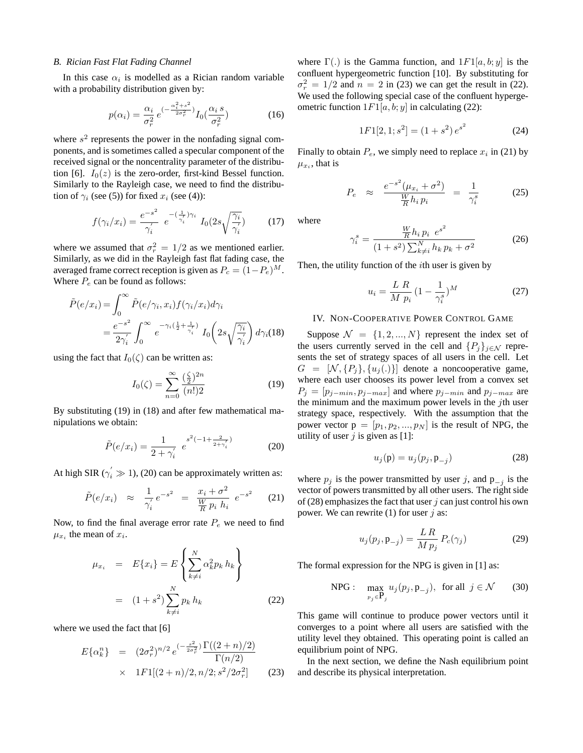#### *B. Rician Fast Flat Fading Channel*

In this case  $\alpha_i$  is modelled as a Rician random variable with a probability distribution given by:

$$
p(\alpha_i) = \frac{\alpha_i}{\sigma_r^2} e^{-\frac{\alpha_i^2 + s^2}{2\sigma_r^2}} I_0(\frac{\alpha_i s}{\sigma_r^2})
$$
 (16)

where  $s<sup>2</sup>$  represents the power in the nonfading signal components, and is sometimes called a specular component of the received signal or the noncentrality parameter of the distribution [6].  $I_0(z)$  is the zero-order, first-kind Bessel function. Similarly to the Rayleigh case, we need to find the distribution of  $\gamma_i$  (see (5)) for fixed  $x_i$  (see (4)):

$$
f(\gamma_i/x_i) = \frac{e^{-s^2}}{\gamma_i'} e^{-\left(\frac{1}{\gamma_i'}\right)\gamma_i} I_0(2s\sqrt{\frac{\gamma_i}{\gamma_i'}})
$$
 (17)

where we assumed that  $\sigma_r^2 = 1/2$  as we mentioned earlier. Similarly, as we did in the Rayleigh fast flat fading case, the averaged frame correct reception is given as  $P_c = (1 - P_e)^M$ . Where  $P_e$  can be found as follows:

$$
\tilde{P}(e/x_i) = \int_0^\infty \tilde{P}(e/\gamma_i, x_i) f(\gamma_i/x_i) d\gamma_i
$$
  
= 
$$
\frac{e^{-s^2}}{2\gamma_i'} \int_0^\infty e^{-\gamma_i(\frac{1}{2} + \frac{1}{\gamma_i'})} I_0\left(2s\sqrt{\frac{\gamma_i}{\gamma_i'}}\right) d\gamma_i(18)
$$

using the fact that  $I_0(\zeta)$  can be written as:

$$
I_0(\zeta) = \sum_{n=0}^{\infty} \frac{\left(\frac{\zeta}{2}\right)^{2n}}{(n!)^2}
$$
 (19)

By substituting (19) in (18) and after few mathematical manipulations we obtain:

$$
\tilde{P}(e/x_i) = \frac{1}{2 + \gamma_i'} e^{s^2(-1 + \frac{2}{2 + \gamma_i'})}
$$
(20)

At high SIR ( $\gamma_i' \gg 1$ ), (20) can be approximately written as:

$$
\tilde{P}(e/x_i) \approx \frac{1}{\gamma_i'} e^{-s^2} = \frac{x_i + \sigma^2}{\frac{W}{R} p_i h_i} e^{-s^2}
$$
 (21)

Now, to find the final average error rate  $P_e$  we need to find  $\mu_{x_i}$  the mean of  $x_i$ .

$$
\mu_{x_i} = E\{x_i\} = E\left\{\sum_{k \neq i}^N \alpha_k^2 p_k h_k\right\}
$$

$$
= (1 + s^2) \sum_{k \neq i}^N p_k h_k
$$
(22)

where we used the fact that [6]

$$
E\{\alpha_k^n\} = (2\sigma_r^2)^{n/2} e^{-\frac{s^2}{2\sigma_r^2}} \frac{\Gamma((2+n)/2)}{\Gamma(n/2)}
$$
  
 
$$
\times 1F1[(2+n)/2, n/2; s^2/2\sigma_r^2]
$$
 (23)

where  $\Gamma(.)$  is the Gamma function, and  $1F1[a, b; y]$  is the confluent hypergeometric function [10]. By substituting for  $\sigma_r^2 = 1/2$  and  $n = 2$  in (23) we can get the result in (22). We used the following special case of the confluent hypergeometric function  $1F1[a, b; y]$  in calculating (22):

$$
1F1[2, 1; s2] = (1 + s2) es2
$$
 (24)

Finally to obtain  $P_e$ , we simply need to replace  $x_i$  in (21) by  $\mu_{x_i}$ , that is

$$
P_e \approx \frac{e^{-s^2}(\mu_{x_i} + \sigma^2)}{\frac{W}{R}h_i p_i} = \frac{1}{\gamma_i^s}
$$
 (25)

where

$$
\gamma_i^s = \frac{\frac{W}{R} h_i p_i e^{s^2}}{(1+s^2) \sum_{k \neq i}^N h_k p_k + \sigma^2}
$$
 (26)

Then, the utility function of the  $i$ th user is given by

$$
u_i = \frac{L \ R}{M \ p_i} \ (1 - \frac{1}{\gamma_i^s})^M \tag{27}
$$

#### IV. NON-COOPERATIVE POWER CONTROL GAME

Suppose  $\mathcal{N} = \{1, 2, ..., N\}$  represent the index set of the users currently served in the cell and  $\{P_i\}_{i\in\mathcal{N}}$  represents the set of strategy spaces of all users in the cell. Let  $G = [\mathcal{N}, \{P_j\}, \{u_j(.)\}]$  denote a noncooperative game, where each user chooses its power level from a convex set  $P_j = [p_{j-min}, p_{j-max}]$  and where  $p_{j-min}$  and  $p_{j-max}$  are the minimum and the maximum power levels in the  $j$ th user strategy space, respectively. With the assumption that the power vector  $p = [p_1, p_2, ..., p_N]$  is the result of NPG, the utility of user  $j$  is given as [1]:

$$
u_j(\mathbf{p}) = u_j(p_j, \mathbf{p}_{-j})
$$
\n(28)

where  $p_j$  is the power transmitted by user j, and  $p_{-j}$  is the vector of powers transmitted by all other users. The right side of (28) emphasizes the fact that user j can just control his own power. We can rewrite  $(1)$  for user j as:

$$
u_j(p_j, \mathbf{p}_{-j}) = \frac{LR}{Mp_j} P_c(\gamma_j)
$$
 (29)

The formal expression for the NPG is given in [1] as:

$$
\text{NPG}: \quad \max_{p_j \in \mathbf{P}_j} u_j(p_j, \mathbf{p}_{-j}), \ \text{ for all } \ j \in \mathcal{N} \tag{30}
$$

This game will continue to produce power vectors until it converges to a point where all users are satisfied with the utility level they obtained. This operating point is called an equilibrium point of NPG.

In the next section, we define the Nash equilibrium point and describe its physical interpretation.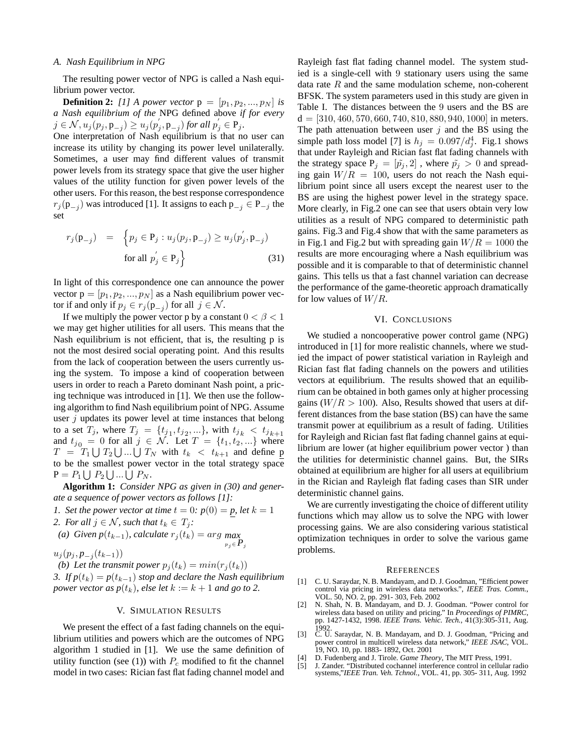#### *A. Nash Equilibrium in NPG*

The resulting power vector of NPG is called a Nash equilibrium power vector.

**Definition 2:** [1] A power vector  $p = [p_1, p_2, ..., p_N]$  *is a Nash equilibrium of the* NPG defined above *if for every*  $j \in \mathcal{N}, u_j(p_j, p_{-j}) \ge u_j(p'_j, p_{-j})$  for all  $p'_j \in P_j$ .

One interpretation of Nash equilibrium is that no user can increase its utility by changing its power level unilaterally. Sometimes, a user may find different values of transmit power levels from its strategy space that give the user higher values of the utility function for given power levels of the other users. For this reason, the best response correspondence  $r_j(p_{-j})$  was introduced [1]. It assigns to each  $p_{-j} \in P_{-j}$  the set

$$
r_j(\mathbf{p}_{-j}) = \left\{ p_j \in \mathbf{P}_j : u_j(p_j, \mathbf{p}_{-j}) \ge u_j(p'_j, \mathbf{p}_{-j}) \right\}
$$
  
for all  $p'_j \in \mathbf{P}_j$  (31)

In light of this correspondence one can announce the power vector  $p = [p_1, p_2, ..., p_N]$  as a Nash equilibrium power vector if and only if  $p_j \in r_j(\mathbf{p}_{-j})$  for all  $j \in \mathcal{N}$ .

If we multiply the power vector p by a constant  $0 < \beta < 1$ we may get higher utilities for all users. This means that the Nash equilibrium is not efficient, that is, the resulting p is not the most desired social operating point. And this results from the lack of cooperation between the users currently using the system. To impose a kind of cooperation between users in order to reach a Pareto dominant Nash point, a pricing technique was introduced in [1]. We then use the following algorithm to find Nash equilibrium point of NPG. Assume user  $j$  updates its power level at time instances that belong to a set  $T_j$ , where  $T_j = \{t_{j_1}, t_{j_2}, ...\}$ , with  $t_{j_k} < t_{j_{k+1}}$ and  $t_{j_0} = 0$  for all  $j \in \mathcal{N}$ . Let  $T = \{t_1, t_2, ...\}$  where and  $t_{j_0} = 0$  for an  $j \in \mathcal{N}$ . Let  $I = \{t_1, t_2, ...\}$  where<br>  $T = T_1 \bigcup T_2 \bigcup ... \bigcup T_N$  with  $t_k < t_{k+1}$  and define p to be the smallest power vector in the total strategy space to be the smallest power<br>  $P = P_1 \bigcup P_2 \bigcup ... \bigcup P_N$ .

**Algorithm 1:** *Consider NPG as given in (30) and generate a sequence of power vectors as follows [1]:*

*1. Set the power vector at time*  $t = 0$ *:*  $p(0) = p$ *, let*  $k = 1$ 2. For all  $j \in \mathcal{N}$ , such that  $t_k \in T_j$ : *(a) Given p*( $t_{k-1}$ )*, calculate*  $r_j(t_k) = arg$  *max*  $p_j \in P_j$ 

 $u_j(p_j, p_{-j}(t_{k-1}))$ 

*(b)* Let the transmit power  $p_i(t_k) = min(r_i(t_k))$ *3. If*  $p(t_k) = p(t_{k-1})$  *stop and declare the Nash equilibrium power vector as*  $p(t_k)$ *, else let*  $k := k + 1$  *and go to 2.* 

#### V. SIMULATION RESULTS

We present the effect of a fast fading channels on the equilibrium utilities and powers which are the outcomes of NPG algorithm 1 studied in [1]. We use the same definition of utility function (see (1)) with  $P_c$  modified to fit the channel model in two cases: Rician fast flat fading channel model and Rayleigh fast flat fading channel model. The system studied is a single-cell with 9 stationary users using the same data rate  $R$  and the same modulation scheme, non-coherent BFSK. The system parameters used in this study are given in Table I. The distances between the 9 users and the BS are  $d = [310, 460, 570, 660, 740, 810, 880, 940, 1000]$  in meters. The path attenuation between user  $j$  and the BS using the simple path loss model [7] is  $h_j = 0.097/d_j^4$ . Fig.1 shows that under Rayleigh and Rician fast flat fading channels with the strategy space  $P_j = [\tilde{p}_j, 2]$ , where  $\tilde{p}_j > 0$  and spreading gain  $W/R = 100$ , users do not reach the Nash equilibrium point since all users except the nearest user to the BS are using the highest power level in the strategy space. More clearly, in Fig.2 one can see that users obtain very low utilities as a result of NPG compared to deterministic path gains. Fig.3 and Fig.4 show that with the same parameters as in Fig.1 and Fig.2 but with spreading gain  $W/R = 1000$  the results are more encouraging where a Nash equilibrium was possible and it is comparable to that of deterministic channel gains. This tells us that a fast channel variation can decrease the performance of the game-theoretic approach dramatically for low values of  $W/R$ .

#### VI. CONCLUSIONS

We studied a noncooperative power control game (NPG) introduced in [1] for more realistic channels, where we studied the impact of power statistical variation in Rayleigh and Rician fast flat fading channels on the powers and utilities vectors at equilibrium. The results showed that an equilibrium can be obtained in both games only at higher processing gains ( $W/R > 100$ ). Also, Results showed that users at different distances from the base station (BS) can have the same transmit power at equilibrium as a result of fading. Utilities for Rayleigh and Rician fast flat fading channel gains at equilibrium are lower (at higher equilibrium power vector ) than the utilities for deterministic channel gains. But, the SIRs obtained at equilibrium are higher for all users at equilibrium in the Rician and Rayleigh flat fading cases than SIR under deterministic channel gains.

We are currently investigating the choice of different utility functions which may allow us to solve the NPG with lower processing gains. We are also considering various statistical optimization techniques in order to solve the various game problems.

#### **REFERENCES**

- [1] C. U. Saraydar, N. B. Mandayam, and D. J. Goodman, "Efficient power control via pricing in wireless data networks.", *IEEE Tras. Comm.*, VOL. 50, NO. 2, pp. 291- 303, Feb. 2002
- [2] N. Shah, N. B. Mandayam, and D. J. Goodman. "Power control for wireless data based on utility and pricing." In *Proceedings of PIMRC,* pp. 1427-1432, 1998. *IEEE Trans. Vehic. Tech.,* 41(3):305-311, Aug. 1992.
- [3] C. U. Saraydar, N. B. Mandayam, and D. J. Goodman, "Pricing and power control in multicell wireless data network," *IEEE JSAC*, VOL. 19, NO. 10, pp. 1883- 1892, Oct. 2001
- [4] D. Fudenberg and J. Tirole. *Game Theory*, The MIT Press, 1991.
- [5] J. Zander. "Distributed cochannel interference control in cellular radio systems,"*IEEE Tran. Veh. Tchnol.*, VOL. 41, pp. 305- 311, Aug. 1992